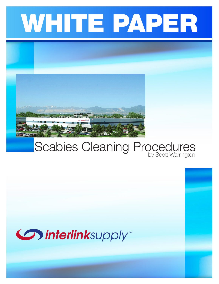



## Scabies Cleaning Procedures

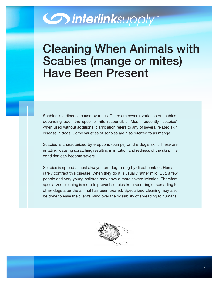## **Communications**

## Cleaning When Animals with Scabies (mange or mites) Have Been Present

Scabies is a disease cause by mites. There are several varieties of scabies depending upon the specific mite responsible. Most frequently "scabies" when used without additional clarification refers to any of several related skin disease in dogs. Some varieties of scabies are also referred to as mange.

Scabies is characterized by eruptions (bumps) on the dog's skin. These are irritating, causing scratching resulting in irritation and redness of the skin. The condition can become severe.

Scabies is spread almost always from dog to dog by direct contact. Humans rarely contract this disease. When they do it is usually rather mild. But, a few people and very young children may have a more severe irritation. Therefore specialized cleaning is more to prevent scabies from recurring or spreading to other dogs after the animal has been treated. Specialized cleaning may also be done to ease the client's mind over the possibility of spreading to humans.